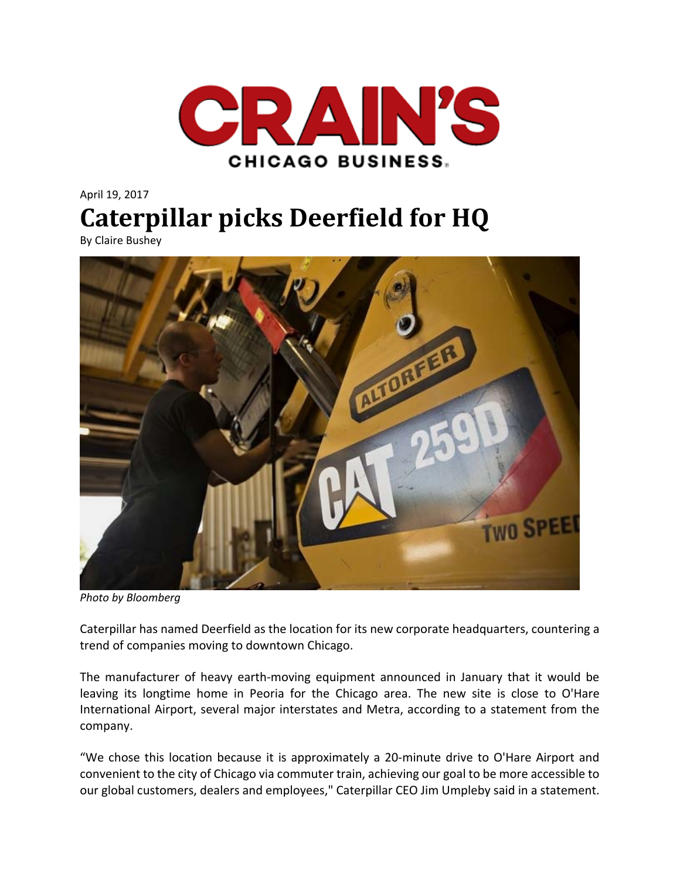

## April 19, 2017 **Caterpillar picks Deerfield for HQ**

By Claire Bushey



*Photo by Bloomberg* 

Caterpillar has named Deerfield as the location for its new corporate headquarters, countering a trend of companies moving to downtown Chicago.

The manufacturer of heavy earth‐moving equipment announced in January that it would be leaving its longtime home in Peoria for the Chicago area. The new site is close to O'Hare International Airport, several major interstates and Metra, according to a statement from the company.

"We chose this location because it is approximately a 20‐minute drive to O'Hare Airport and convenient to the city of Chicago via commuter train, achieving our goal to be more accessible to our global customers, dealers and employees," Caterpillar CEO Jim Umpleby said in a statement.